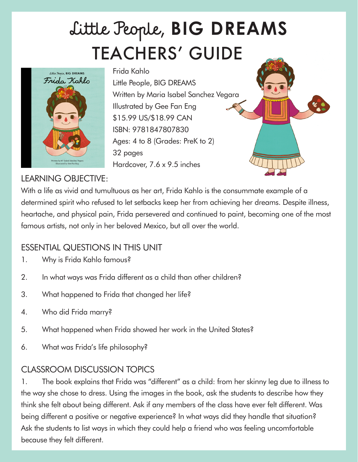# TEACHERS' GUIDE Little People, **BIG DREAMS**



Frida Kahlo Little People, BIG DREAMS Written by Maria Isabel Sanchez Vegara Illustrated by Gee Fan Eng \$15.99 US/\$18.99 CAN ISBN: 9781847807830 Ages: 4 to 8 (Grades: PreK to 2) 32 pages Hardcover, 7.6 x 9.5 inches



#### LEARNING OBJECTIVE:

With a life as vivid and tumultuous as her art, Frida Kahlo is the consummate example of a determined spirit who refused to let setbacks keep her from achieving her dreams. Despite illness, heartache, and physical pain, Frida persevered and continued to paint, becoming one of the most famous artists, not only in her beloved Mexico, but all over the world.

### ESSENTIAL QUESTIONS IN THIS UNIT

- 1. Why is Frida Kahlo famous?
- 2. In what ways was Frida different as a child than other children?
- 3. What happened to Frida that changed her life?
- 4. Who did Frida marry?
- 5. What happened when Frida showed her work in the United States?
- 6. What was Frida's life philosophy?

## CLASSROOM DISCUSSION TOPICS

1. The book explains that Frida was "different" as a child: from her skinny leg due to illness to the way she chose to dress. Using the images in the book, ask the students to describe how they think she felt about being different. Ask if any members of the class have ever felt different. Was being different a positive or negative experience? In what ways did they handle that situation? Ask the students to list ways in which they could help a friend who was feeling uncomfortable because they felt different.